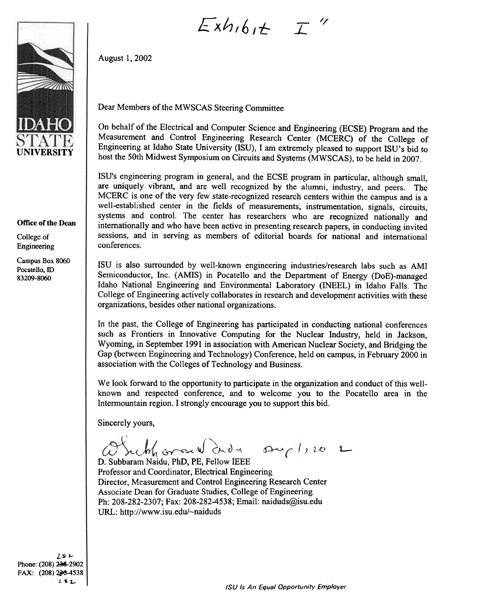

## Office of the Dean

College of Engineering

Campus Box 8060 Pocatello, ID 83209-8060

## $Exh$ ,  $6$ ,  $t$   $\top$  "

Dear Members of the MWSCAS Steering Committee:

On behalf of the Electrical and Computer Science and Engineering (ECSE) Program and the Measurement and Control Engineering Research Center (MCERC) of the College of Engineering at Idaho State University (ISU), I am extremely pleased to support ISU's bid to host the 50th Midwest Symposium on Circuits and Systems (MWSCAS), to be held in 2007.

ISU's engineering program in general, and the ECSE program in particular, although small, are uniquely vibrant, and are well recognized by the alumni, industry, and peers. The MCERC is one of the very few state-recognized research centers within the campus and is a well-established center in the fields of measurements, instrumentation, signals, circuits, systems and control. The center has researchers who are recognized nationally and internationally and who have been active in presenting research papers, in conducting invited sessions, and in serving as members of editorial boards for national and international conferences.

ISU is also surrounded by well-known engineering industries/research labs such as AMI Semiconductor, Inc. (AMIS) in Pocatello and the Department of Energy (DoE)-managed Idaho National Engineering and Environmental Laboratory (INEEL) in Idaho Falls. The College of Engineering actively collaborates in research and development activities with these organizations, besides other national organizations.

In the past, the College of Engineering has participated in conducting national conferences such as Frontiers in Innovative Computing for the Nuclear Industry, held in Jackson, Wyoming, in September 1991 in association with American Nuclear Society, and Bridging the Gap (between Engineering and Technology) Conference, held on campus, in February 2000 in association with the Colleges of Technology and Business.

We look forward to the opportunity to participate in the organization and conduct of this wellknown and respected conference, and to welcome you to the Pocatello area in the Intermountain region. I strongly encourage you to support this bid.

Sincerely yours,

August 1, 2002

Subharand dida suplice 2

D. Subbaram Naidu, PhD, PE, Fellow IEEE Professor and Coordinator, Electrical Engineering Director, Measurement and Control Engineering Research Center Associate Dean for Graduate Studies, College of Engineering Ph: 208-282-2307; Fax: 208-282-4538; Email: naiduds@isu.edu URL: http://www.isu.edu/~naiduds

 $25r$ Phone: (208) 236-2902 FAX: (208) 236-4538  $252$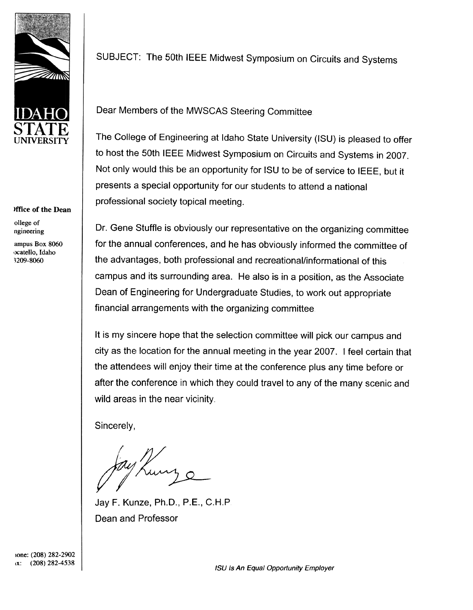

## )ffice of the Dean

ollege of ngineering

ampus Box 8060 ocatello, Idaho ,209-8060

SUBJECT: The 50th IEEE Midwest Symposium on Circuits and Systems

Dear Members of the MWSCAS Steering Committee

The College of Engineering at Idaho State University (ISU) is pleased to offer to host the 50th IEEE Midwest Symposium on Circuits and Systems in 2007. Not only would this be an opportunity for ISU to be of service to IEEE, but it presents a special opportunity for our students to attend a national professional society topical meeting.

Dr. Gene Stuffle is obviously our representative on the organizing committee for the annual conferences, and he has obviously informed the committee of the advantages, both professional and recreational/informational of this campus and its surrounding area. He also is in a position, as the Associate Dean of Engineering for Undergraduate Studies, to work out appropriate financial arrangements with the organizing committee

It is my sincere hope that the selection committee will pick our campus and city as the location for the annual meeting in the year 2007. I feel certain that the attendees will enjoy their time at the conference plus any time before or after the conference in which they could travel to any of the many scenic and wild areas in the near vicinity.

Sincerely,

Jay F. Kunze, Ph.D., P.E., C.H.P Dean and Professor

 $(x):$  (208) 282-4538<br>(208)  $x^2$ lone: (208) 282-2902 IX: (208) 282-4538